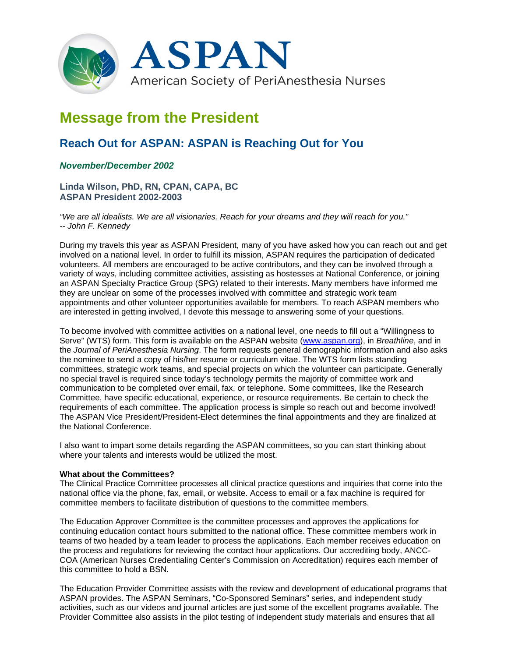

## **Message from the President**

## **Reach Out for ASPAN: ASPAN is Reaching Out for You**

## *November/December 2002*

**Linda Wilson, PhD, RN, CPAN, CAPA, BC ASPAN President 2002-2003**

*"We are all idealists. We are all visionaries. Reach for your dreams and they will reach for you." -- John F. Kennedy*

During my travels this year as ASPAN President, many of you have asked how you can reach out and get involved on a national level. In order to fulfill its mission, ASPAN requires the participation of dedicated volunteers. All members are encouraged to be active contributors, and they can be involved through a variety of ways, including committee activities, assisting as hostesses at National Conference, or joining an ASPAN Specialty Practice Group (SPG) related to their interests. Many members have informed me they are unclear on some of the processes involved with committee and strategic work team appointments and other volunteer opportunities available for members. To reach ASPAN members who are interested in getting involved, I devote this message to answering some of your questions.

To become involved with committee activities on a national level, one needs to fill out a "Willingness to Serve" (WTS) form. This form is available on the ASPAN website (www.aspan.org), in *Breathline*, and in the *Journal of PeriAnesthesia Nursing*. The form requests general demographic information and also asks the nominee to send a copy of his/her resume or curriculum vitae. The WTS form lists standing committees, strategic work teams, and special projects on which the volunteer can participate. Generally no special travel is required since today's technology permits the majority of committee work and communication to be completed over email, fax, or telephone. Some committees, like the Research Committee, have specific educational, experience, or resource requirements. Be certain to check the requirements of each committee. The application process is simple so reach out and become involved! The ASPAN Vice President/President-Elect determines the final appointments and they are finalized at the National Conference.

I also want to impart some details regarding the ASPAN committees, so you can start thinking about where your talents and interests would be utilized the most.

## **What about the Committees?**

The Clinical Practice Committee processes all clinical practice questions and inquiries that come into the national office via the phone, fax, email, or website. Access to email or a fax machine is required for committee members to facilitate distribution of questions to the committee members.

The Education Approver Committee is the committee processes and approves the applications for continuing education contact hours submitted to the national office. These committee members work in teams of two headed by a team leader to process the applications. Each member receives education on the process and regulations for reviewing the contact hour applications. Our accrediting body, ANCC-COA (American Nurses Credentialing Center's Commission on Accreditation) requires each member of this committee to hold a BSN.

The Education Provider Committee assists with the review and development of educational programs that ASPAN provides. The ASPAN Seminars, "Co-Sponsored Seminars" series, and independent study activities, such as our videos and journal articles are just some of the excellent programs available. The Provider Committee also assists in the pilot testing of independent study materials and ensures that all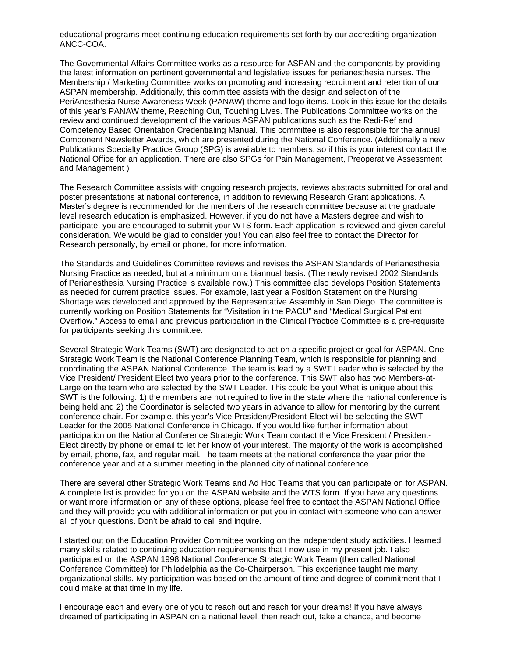educational programs meet continuing education requirements set forth by our accrediting organization ANCC-COA.

The Governmental Affairs Committee works as a resource for ASPAN and the components by providing the latest information on pertinent governmental and legislative issues for perianesthesia nurses. The Membership / Marketing Committee works on promoting and increasing recruitment and retention of our ASPAN membership. Additionally, this committee assists with the design and selection of the PeriAnesthesia Nurse Awareness Week (PANAW) theme and logo items. Look in this issue for the details of this year's PANAW theme, Reaching Out, Touching Lives. The Publications Committee works on the review and continued development of the various ASPAN publications such as the Redi-Ref and Competency Based Orientation Credentialing Manual. This committee is also responsible for the annual Component Newsletter Awards, which are presented during the National Conference. (Additionally a new Publications Specialty Practice Group (SPG) is available to members, so if this is your interest contact the National Office for an application. There are also SPGs for Pain Management, Preoperative Assessment and Management )

The Research Committee assists with ongoing research projects, reviews abstracts submitted for oral and poster presentations at national conference, in addition to reviewing Research Grant applications. A Master's degree is recommended for the members of the research committee because at the graduate level research education is emphasized. However, if you do not have a Masters degree and wish to participate, you are encouraged to submit your WTS form. Each application is reviewed and given careful consideration. We would be glad to consider you! You can also feel free to contact the Director for Research personally, by email or phone, for more information.

The Standards and Guidelines Committee reviews and revises the ASPAN Standards of Perianesthesia Nursing Practice as needed, but at a minimum on a biannual basis. (The newly revised 2002 Standards of Perianesthesia Nursing Practice is available now.) This committee also develops Position Statements as needed for current practice issues. For example, last year a Position Statement on the Nursing Shortage was developed and approved by the Representative Assembly in San Diego. The committee is currently working on Position Statements for "Visitation in the PACU" and "Medical Surgical Patient Overflow." Access to email and previous participation in the Clinical Practice Committee is a pre-requisite for participants seeking this committee.

Several Strategic Work Teams (SWT) are designated to act on a specific project or goal for ASPAN. One Strategic Work Team is the National Conference Planning Team, which is responsible for planning and coordinating the ASPAN National Conference. The team is lead by a SWT Leader who is selected by the Vice President/ President Elect two years prior to the conference. This SWT also has two Members-at-Large on the team who are selected by the SWT Leader. This could be you! What is unique about this SWT is the following: 1) the members are not required to live in the state where the national conference is being held and 2) the Coordinator is selected two years in advance to allow for mentoring by the current conference chair. For example, this year's Vice President/President-Elect will be selecting the SWT Leader for the 2005 National Conference in Chicago. If you would like further information about participation on the National Conference Strategic Work Team contact the Vice President / President-Elect directly by phone or email to let her know of your interest. The majority of the work is accomplished by email, phone, fax, and regular mail. The team meets at the national conference the year prior the conference year and at a summer meeting in the planned city of national conference.

There are several other Strategic Work Teams and Ad Hoc Teams that you can participate on for ASPAN. A complete list is provided for you on the ASPAN website and the WTS form. If you have any questions or want more information on any of these options, please feel free to contact the ASPAN National Office and they will provide you with additional information or put you in contact with someone who can answer all of your questions. Don't be afraid to call and inquire.

I started out on the Education Provider Committee working on the independent study activities. I learned many skills related to continuing education requirements that I now use in my present job. I also participated on the ASPAN 1998 National Conference Strategic Work Team (then called National Conference Committee) for Philadelphia as the Co-Chairperson. This experience taught me many organizational skills. My participation was based on the amount of time and degree of commitment that I could make at that time in my life.

I encourage each and every one of you to reach out and reach for your dreams! If you have always dreamed of participating in ASPAN on a national level, then reach out, take a chance, and become